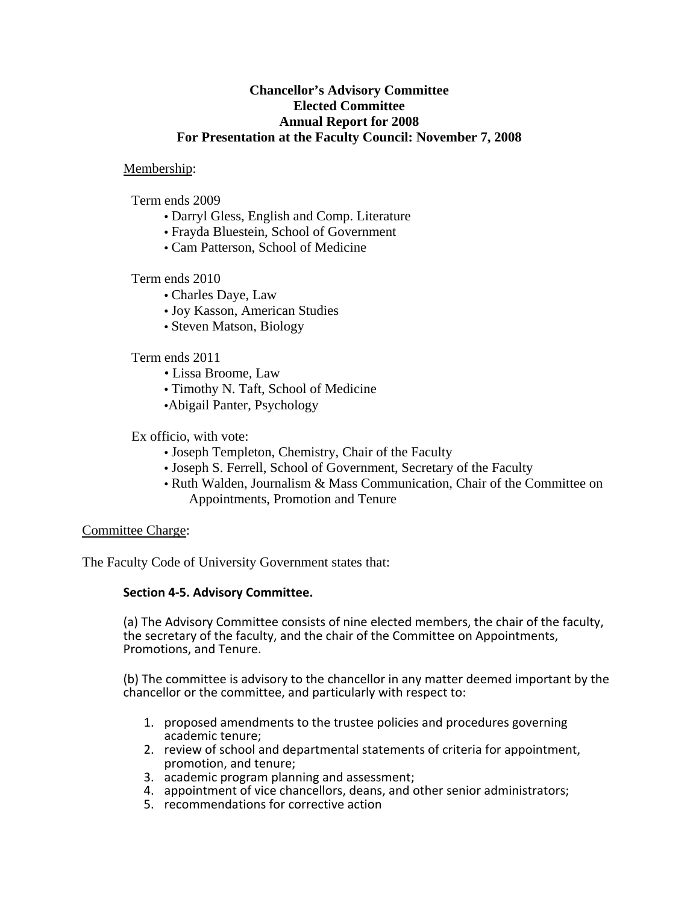# **Chancellor's Advisory Committee Elected Committee Annual Report for 2008 For Presentation at the Faculty Council: November 7, 2008**

## Membership:

Term ends 2009

- Darryl Gless, English and Comp. Literature
- Frayda Bluestein, School of Government
- Cam Patterson, School of Medicine

# Term ends 2010

- Charles Daye, Law
- Joy Kasson, American Studies
- Steven Matson, Biology

### Term ends 2011

- Lissa Broome, Law
- Timothy N. Taft, School of Medicine
- •Abigail Panter, Psychology

### Ex officio, with vote:

- Joseph Templeton, Chemistry, Chair of the Faculty
- Joseph S. Ferrell, School of Government, Secretary of the Faculty
- Ruth Walden, Journalism & Mass Communication, Chair of the Committee on Appointments, Promotion and Tenure

#### Committee Charge:

The Faculty Code of University Government states that:

#### **Section 4‐5. Advisory Committee.**

(a) The Advisory Committee consists of nine elected members, the chair of the faculty, the secretary of the faculty, and the chair of the Committee on Appointments, Promotions, and Tenure.

(b) The committee is advisory to the chancellor in any matter deemed important by the chancellor or the committee, and particularly with respect to:

- 1. proposed amendments to the trustee policies and procedures governing academic tenure;<br>2. review of school and departmental statements of criteria for appointment,
- promotion, and tenure;
- 3. academic program planning and assessment;
- 4. appointment of vice chancellors, deans, and other senior administrators;
- 5. recommendations for corrective action